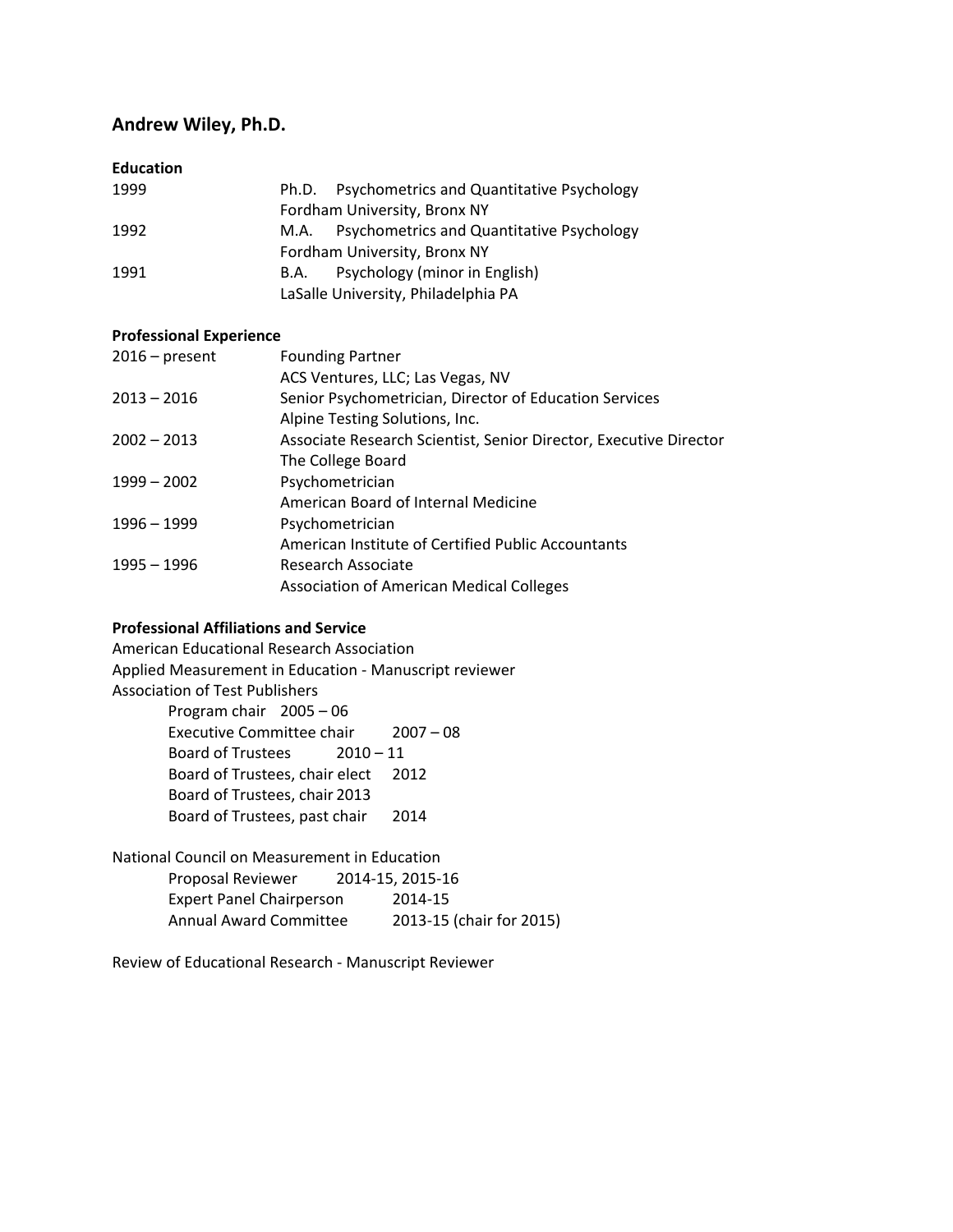# **Andrew Wiley, Ph.D.**

### **Education**

| 1999 | Ph.D. Psychometrics and Quantitative Psychology |
|------|-------------------------------------------------|
|      | Fordham University, Bronx NY                    |
| 1992 | M.A. Psychometrics and Quantitative Psychology  |
|      | Fordham University, Bronx NY                    |
| 1991 | Psychology (minor in English)<br>B.A.           |
|      | LaSalle University, Philadelphia PA             |

### **Professional Experience**

| $2016$ – present | <b>Founding Partner</b>                                           |
|------------------|-------------------------------------------------------------------|
|                  | ACS Ventures, LLC; Las Vegas, NV                                  |
| $2013 - 2016$    | Senior Psychometrician, Director of Education Services            |
|                  | Alpine Testing Solutions, Inc.                                    |
| $2002 - 2013$    | Associate Research Scientist, Senior Director, Executive Director |
|                  | The College Board                                                 |
| $1999 - 2002$    | Psychometrician                                                   |
|                  | American Board of Internal Medicine                               |
| $1996 - 1999$    | Psychometrician                                                   |
|                  | American Institute of Certified Public Accountants                |
| $1995 - 1996$    | Research Associate                                                |
|                  | <b>Association of American Medical Colleges</b>                   |

## **Professional Affiliations and Service**

American Educational Research Association Applied Measurement in Education - Manuscript reviewer Association of Test Publishers Program chair 2005 – 06 Executive Committee chair 2007 – 08 Board of Trustees 2010 – 11

> Board of Trustees, chair elect 2012 Board of Trustees, chair 2013 Board of Trustees, past chair 2014

National Council on Measurement in Education Proposal Reviewer 2014-15, 2015-16 Expert Panel Chairperson 2014-15

Annual Award Committee 2013-15 (chair for 2015)

Review of Educational Research - Manuscript Reviewer